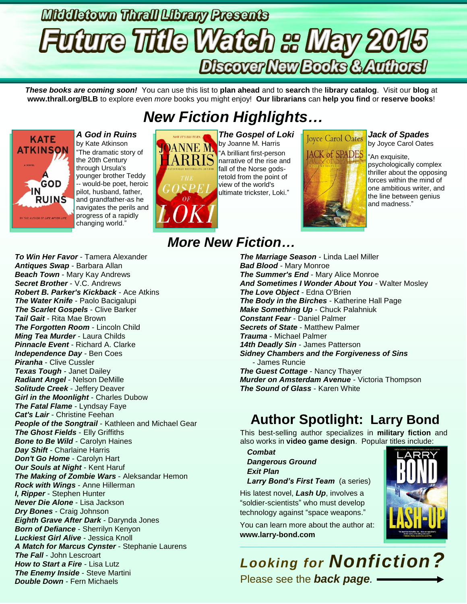# Middletown Thrall Library Presents **Future Title Watch & May 2015** Discover New Books & Authors!

*These books are coming soon!* You can use this list to **plan ahead** and to **search** the **library catalog**. Visit our **blog** at **www.thrall.org/BLB** to explore even *more* books you might enjoy! **Our librarians** can **help you find** or **reserve books**!

# *New Fiction Highlights…*



*A God in Ruins* by Kate Atkinson "The dramatic story of the 20th Century through Ursula's younger brother Teddy -- would-be poet, heroic pilot, husband, father, and grandfather-as he navigates the perils and progress of a rapidly changing world."



*The Gospel of Loki* by Joanne M. Harris "A brilliant first-person narrative of the rise and fall of the Norse godsretold from the point of view of the world's ultimate trickster, Loki."



# **ACK of SPADES**

## *Jack of Spades*

by Joyce Carol Oates

"An exquisite, psychologically complex thriller about the opposing forces within the mind of one ambitious writer, and the line between genius and madness."

*To Win Her Favor* - Tamera Alexander *Antiques Swap* - Barbara Allan *Beach Town* - Mary Kay Andrews *Secret Brother* - V.C. Andrews *Robert B. Parker's Kickback* - Ace Atkins *The Water Knife* - Paolo Bacigalupi *The Scarlet Gospels* - Clive Barker *Tail Gait* - Rita Mae Brown *The Forgotten Room* - Lincoln Child *Ming Tea Murder* - Laura Childs *Pinnacle Event* - Richard A. Clarke *Independence Day* - Ben Coes *Piranha* - Clive Cussler *Texas Tough* - Janet Dailey *Radiant Angel* - Nelson DeMille *Solitude Creek* - Jeffery Deaver *Girl in the Moonlight* - Charles Dubow *The Fatal Flame* - Lyndsay Faye *Cat's Lair* - Christine Feehan *People of the Songtrail* - Kathleen and Michael Gear *The Ghost Fields* - Elly Griffiths **Bone to Be Wild - Carolyn Haines** *Day Shift* - Charlaine Harris *Don't Go Home* - Carolyn Hart *Our Souls at Night* - Kent Haruf *The Making of Zombie Wars* - Aleksandar Hemon *Rock with Wings* - Anne Hillerman *I, Ripper* - Stephen Hunter *Never Die Alone* - Lisa Jackson *Dry Bones* - Craig Johnson *Eighth Grave After Dark* - Darynda Jones *Born of Defiance* - Sherrilyn Kenyon *Luckiest Girl Alive* - Jessica Knoll *A Match for Marcus Cynster* - Stephanie Laurens *The Fall* - John Lescroart *How to Start a Fire* - Lisa Lutz *The Enemy Inside* - Steve Martini *Double Down* - Fern Michaels

# *More New Fiction…*

*The Marriage Season* - Linda Lael Miller *Bad Blood* - Mary Monroe *The Summer's End* - Mary Alice Monroe *And Sometimes I Wonder About You* - Walter Mosley *The Love Object* - Edna O'Brien *The Body in the Birches* - Katherine Hall Page *Make Something Up* - Chuck Palahniuk *Constant Fear* - Daniel Palmer *Secrets of State* - Matthew Palmer *Trauma* - Michael Palmer *14th Deadly Sin* - James Patterson *Sidney Chambers and the Forgiveness of Sins* - James Runcie *The Guest Cottage* - Nancy Thayer *Murder on Amsterdam Avenue* - Victoria Thompson *The Sound of Glass* - Karen White

# **Author Spotlight: Larry Bond**

This best-selling author specializes in **military fiction** and also works in **video game design**. Popular titles include:

- *Combat*
- *Dangerous Ground Exit Plan*

*Larry Bond's First Team* (a series)

His latest novel, *Lash Up*, involves a "soldier-scientists" who must develop technology against "space weapons."

You can learn more about the author at: **[www.larry-bond.com](http://www.larry-bond.com/)**



# *Looking for Nonfiction?* Please see the *back page.*